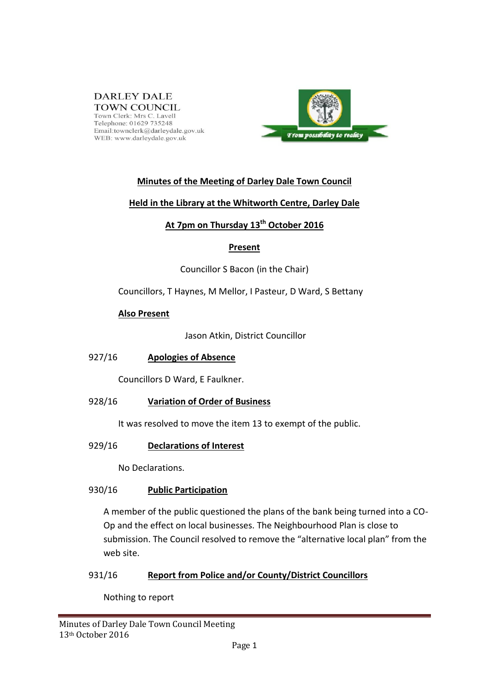#### **DARLEY DALE TOWN COUNCIL** Town Clerk: Mrs C. Lavell<br>Telephone: 01629 735248 Email:townclerk@darleydale.gov.uk WEB: www.darleydale.gov.uk



# **Minutes of the Meeting of Darley Dale Town Council**

## **Held in the Library at the Whitworth Centre, Darley Dale**

# **At 7pm on Thursday 13 th October 2016**

#### **Present**

Councillor S Bacon (in the Chair)

Councillors, T Haynes, M Mellor, I Pasteur, D Ward, S Bettany

## **Also Present**

Jason Atkin, District Councillor

#### 927/16 **Apologies of Absence**

Councillors D Ward, E Faulkner.

## 928/16 **Variation of Order of Business**

It was resolved to move the item 13 to exempt of the public.

#### 929/16 **Declarations of Interest**

No Declarations.

#### 930/16 **Public Participation**

A member of the public questioned the plans of the bank being turned into a CO-Op and the effect on local businesses. The Neighbourhood Plan is close to submission. The Council resolved to remove the "alternative local plan" from the web site.

## 931/16 **Report from Police and/or County/District Councillors**

Nothing to report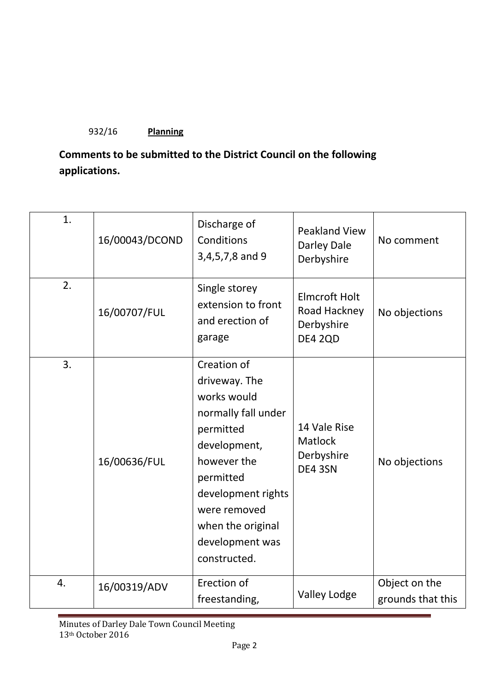# 932/16 **Planning**

# **Comments to be submitted to the District Council on the following applications.**

| 1. | 16/00043/DCOND | Discharge of<br>Conditions<br>3,4,5,7,8 and 9                                                                                                                                                                             | <b>Peakland View</b><br>Darley Dale<br>Derbyshire                    | No comment                         |
|----|----------------|---------------------------------------------------------------------------------------------------------------------------------------------------------------------------------------------------------------------------|----------------------------------------------------------------------|------------------------------------|
| 2. | 16/00707/FUL   | Single storey<br>extension to front<br>and erection of<br>garage                                                                                                                                                          | <b>Elmcroft Holt</b><br>Road Hackney<br>Derbyshire<br><b>DE4 2QD</b> | No objections                      |
| 3. | 16/00636/FUL   | Creation of<br>driveway. The<br>works would<br>normally fall under<br>permitted<br>development,<br>however the<br>permitted<br>development rights<br>were removed<br>when the original<br>development was<br>constructed. | 14 Vale Rise<br><b>Matlock</b><br>Derbyshire<br>DE4 3SN              | No objections                      |
| 4. | 16/00319/ADV   | Erection of<br>freestanding,                                                                                                                                                                                              | <b>Valley Lodge</b>                                                  | Object on the<br>grounds that this |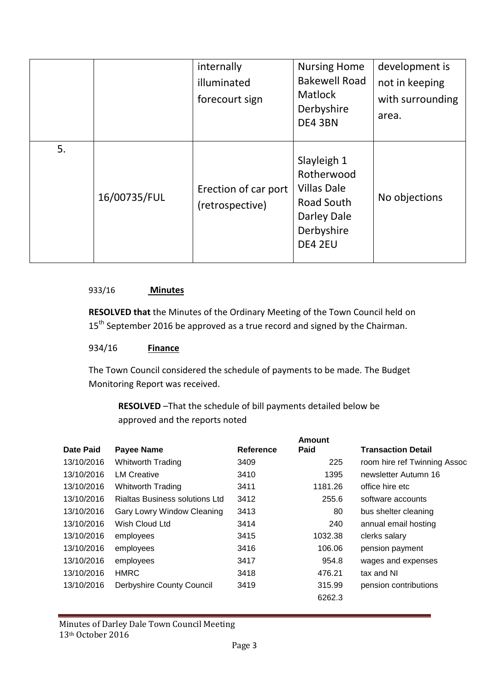|    |              | internally<br>illuminated<br>forecourt sign | <b>Nursing Home</b><br><b>Bakewell Road</b><br><b>Matlock</b><br>Derbyshire<br>DE4 3BN                | development is<br>not in keeping<br>with surrounding<br>area. |
|----|--------------|---------------------------------------------|-------------------------------------------------------------------------------------------------------|---------------------------------------------------------------|
| 5. | 16/00735/FUL | Erection of car port<br>(retrospective)     | Slayleigh 1<br>Rotherwood<br><b>Villas Dale</b><br>Road South<br>Darley Dale<br>Derbyshire<br>DE4 2EU | No objections                                                 |

#### 933/16 **Minutes**

**RESOLVED that** the Minutes of the Ordinary Meeting of the Town Council held on 15<sup>th</sup> September 2016 be approved as a true record and signed by the Chairman.

#### 934/16 **Finance**

The Town Council considered the schedule of payments to be made. The Budget Monitoring Report was received.

**RESOLVED** –That the schedule of bill payments detailed below be approved and the reports noted

|            |                                       |           | <b>Amount</b> |                              |
|------------|---------------------------------------|-----------|---------------|------------------------------|
| Date Paid  | Payee Name                            | Reference | Paid          | <b>Transaction Detail</b>    |
| 13/10/2016 | Whitworth Trading                     | 3409      | 225           | room hire ref Twinning Assoc |
| 13/10/2016 | <b>LM Creative</b>                    | 3410      | 1395          | newsletter Autumn 16         |
| 13/10/2016 | <b>Whitworth Trading</b>              | 3411      | 1181.26       | office hire etc              |
| 13/10/2016 | <b>Rialtas Business solutions Ltd</b> | 3412      | 255.6         | software accounts            |
| 13/10/2016 | Gary Lowry Window Cleaning            | 3413      | 80            | bus shelter cleaning         |
| 13/10/2016 | Wish Cloud Ltd                        | 3414      | 240           | annual email hosting         |
| 13/10/2016 | employees                             | 3415      | 1032.38       | clerks salary                |
| 13/10/2016 | employees                             | 3416      | 106.06        | pension payment              |
| 13/10/2016 | employees                             | 3417      | 954.8         | wages and expenses           |
| 13/10/2016 | <b>HMRC</b>                           | 3418      | 476.21        | tax and NI                   |
| 13/10/2016 | Derbyshire County Council             | 3419      | 315.99        | pension contributions        |
|            |                                       |           | 6262.3        |                              |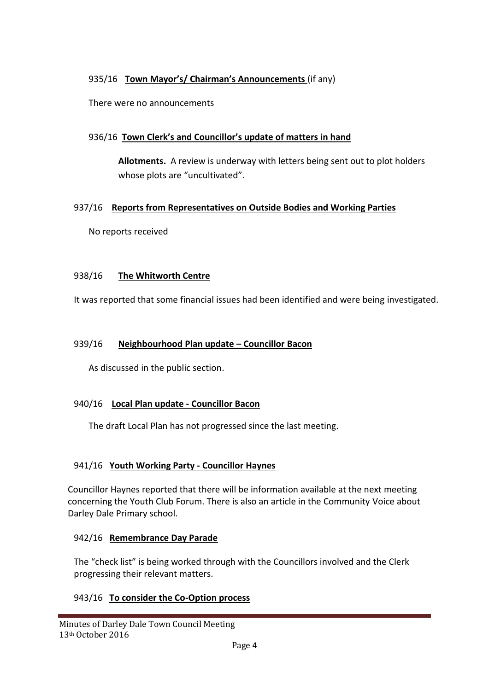# 935/16 **Town Mayor's/ Chairman's Announcements** (if any)

There were no announcements

# 936/16 **Town Clerk's and Councillor's update of matters in hand**

**Allotments.** A review is underway with letters being sent out to plot holders whose plots are "uncultivated".

## 937/16 **Reports from Representatives on Outside Bodies and Working Parties**

No reports received

## 938/16 **The Whitworth Centre**

It was reported that some financial issues had been identified and were being investigated.

#### 939/16 **Neighbourhood Plan update – Councillor Bacon**

As discussed in the public section.

#### 940/16 **Local Plan update - Councillor Bacon**

The draft Local Plan has not progressed since the last meeting.

#### 941/16 **Youth Working Party - Councillor Haynes**

Councillor Haynes reported that there will be information available at the next meeting concerning the Youth Club Forum. There is also an article in the Community Voice about Darley Dale Primary school.

#### 942/16 **Remembrance Day Parade**

The "check list" is being worked through with the Councillors involved and the Clerk progressing their relevant matters.

## 943/16 **To consider the Co-Option process**